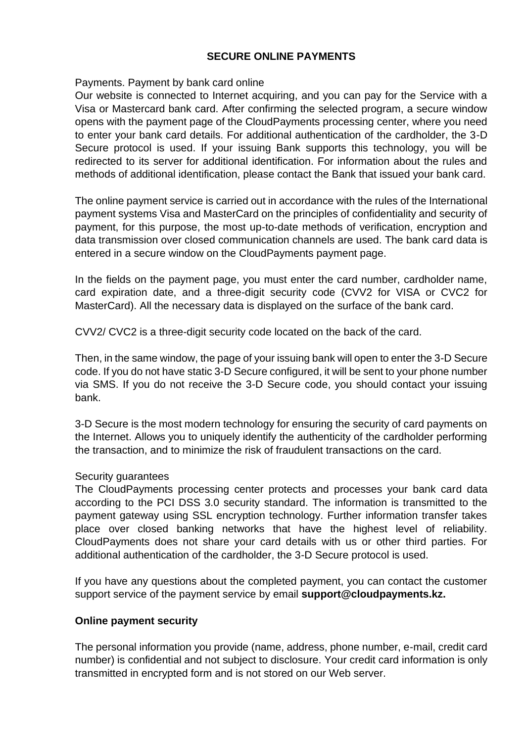## **SECURE ONLINE PAYMENTS**

Payments. Payment by bank card online

Our website is connected to Internet acquiring, and you can pay for the Service with a Visa or Mastercard bank card. After confirming the selected program, a secure window opens with the payment page of the CloudPayments processing center, where you need to enter your bank card details. For additional authentication of the cardholder, the 3-D Secure protocol is used. If your issuing Bank supports this technology, you will be redirected to its server for additional identification. For information about the rules and methods of additional identification, please contact the Bank that issued your bank card.

The online payment service is carried out in accordance with the rules of the International payment systems Visa and MasterCard on the principles of confidentiality and security of payment, for this purpose, the most up-to-date methods of verification, encryption and data transmission over closed communication channels are used. The bank card data is entered in a secure window on the CloudPayments payment page.

In the fields on the payment page, you must enter the card number, cardholder name, card expiration date, and a three-digit security code (CVV2 for VISA or CVC2 for MasterCard). All the necessary data is displayed on the surface of the bank card.

CVV2/ CVC2 is a three-digit security code located on the back of the card.

Then, in the same window, the page of your issuing bank will open to enter the 3-D Secure code. If you do not have static 3-D Secure configured, it will be sent to your phone number via SMS. If you do not receive the 3-D Secure code, you should contact your issuing bank.

3-D Secure is the most modern technology for ensuring the security of card payments on the Internet. Allows you to uniquely identify the authenticity of the cardholder performing the transaction, and to minimize the risk of fraudulent transactions on the card.

## Security guarantees

The CloudPayments processing center protects and processes your bank card data according to the PCI DSS 3.0 security standard. The information is transmitted to the payment gateway using SSL encryption technology. Further information transfer takes place over closed banking networks that have the highest level of reliability. CloudPayments does not share your card details with us or other third parties. For additional authentication of the cardholder, the 3-D Secure protocol is used.

If you have any questions about the completed payment, you can contact the customer support service of the payment service by email **support@cloudpayments.kz.**

## **Online payment security**

The personal information you provide (name, address, phone number, e-mail, credit card number) is confidential and not subject to disclosure. Your credit card information is only transmitted in encrypted form and is not stored on our Web server.